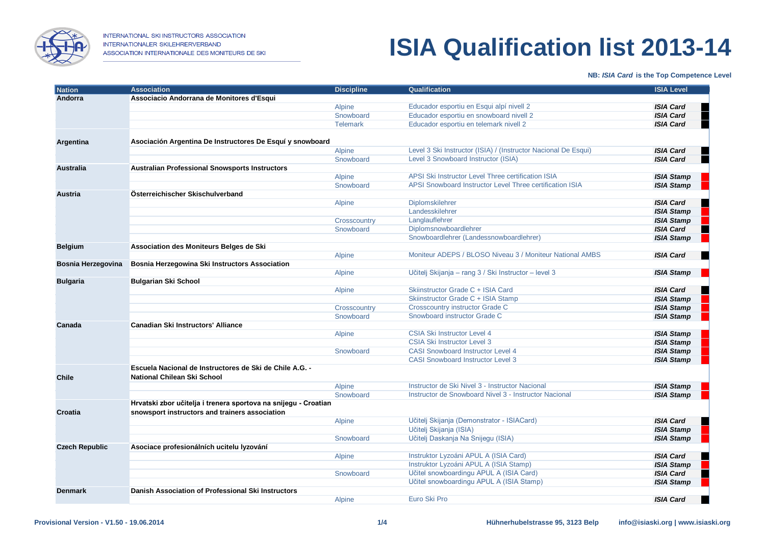

## **ISIA Qualification list 2013-14**

### **NB:** *ISIA Card* **is the Top Competence Level**

| <b>Nation</b>         | <b>Association</b>                                              | <b>Discipline</b> | Qualification                                                  | <b>ISIA Level</b>     |
|-----------------------|-----------------------------------------------------------------|-------------------|----------------------------------------------------------------|-----------------------|
| Andorra               | Associacio Andorrana de Monitores d'Esqui                       |                   |                                                                |                       |
|                       |                                                                 | <b>Alpine</b>     | Educador esportiu en Esqui alpí nivell 2                       | <b>ISIA Card</b><br>٠ |
|                       |                                                                 | Snowboard         | Educador esportiu en snowboard nivell 2                        | <b>ISIA Card</b><br>۰ |
|                       |                                                                 | <b>Telemark</b>   | Educador esportiu en telemark nivell 2                         | <b>ISIA Card</b>      |
|                       |                                                                 |                   |                                                                |                       |
| Argentina             | Asociación Argentina De Instructores De Esquí y snowboard       |                   |                                                                |                       |
|                       |                                                                 | <b>Alpine</b>     | Level 3 Ski Instructor (ISIA) / (Instructor Nacional De Esqui) | <b>ISIA Card</b>      |
|                       |                                                                 | Snowboard         | Level 3 Snowboard Instructor (ISIA)                            | <b>ISIA Card</b><br>٠ |
| Australia             | <b>Australian Professional Snowsports Instructors</b>           |                   |                                                                |                       |
|                       |                                                                 | <b>Alpine</b>     | APSI Ski Instructor Level Three certification ISIA             | <b>ISIA Stamp</b>     |
|                       |                                                                 | Snowboard         | APSI Snowboard Instructor Level Three certification ISIA       | <b>ISIA Stamp</b>     |
| <b>Austria</b>        | Österreichischer Skischulverband                                |                   |                                                                |                       |
|                       |                                                                 | Alpine            | Diplomskilehrer                                                | <b>ISIA Card</b>      |
|                       |                                                                 |                   | Landesskilehrer                                                | <b>ISIA Stamp</b>     |
|                       |                                                                 | Crosscountry      | Langlauflehrer                                                 | <b>ISIA Stamp</b>     |
|                       |                                                                 | Snowboard         | Diplomsnowboardlehrer                                          | <b>ISIA Card</b>      |
|                       |                                                                 |                   | Snowboardlehrer (Landessnowboardlehrer)                        | <b>ISIA Stamp</b>     |
| <b>Belgium</b>        | Association des Moniteurs Belges de Ski                         |                   |                                                                |                       |
|                       |                                                                 | <b>Alpine</b>     | Moniteur ADEPS / BLOSO Niveau 3 / Moniteur National AMBS       | <b>ISIA Card</b>      |
| Bosnia Herzegovina    | Bosnia Herzegowina Ski Instructors Association                  |                   |                                                                |                       |
|                       |                                                                 | <b>Alpine</b>     | Učitelj Skijanja - rang 3 / Ski Instructor - level 3           | <b>ISIA Stamp</b>     |
| <b>Bulgaria</b>       | <b>Bulgarian Ski School</b>                                     |                   |                                                                |                       |
|                       |                                                                 | <b>Alpine</b>     | Skiinstructor Grade C + ISIA Card                              | <b>ISIA Card</b>      |
|                       |                                                                 |                   | Skiinstructor Grade C + ISIA Stamp                             | <b>ISIA Stamp</b>     |
|                       |                                                                 | Crosscountry      | <b>Crosscountry instructor Grade C</b>                         | <b>ISIA Stamp</b>     |
|                       |                                                                 | Snowboard         | Snowboard instructor Grade C                                   | <b>ISIA Stamp</b>     |
| Canada                | <b>Canadian Ski Instructors' Alliance</b>                       |                   |                                                                |                       |
|                       |                                                                 | Alpine            | <b>CSIA Ski Instructor Level 4</b>                             | <b>ISIA Stamp</b>     |
|                       |                                                                 |                   | <b>CSIA Ski Instructor Level 3</b>                             | <b>ISIA Stamp</b>     |
|                       |                                                                 | Snowboard         | <b>CASI Snowboard Instructor Level 4</b>                       | <b>ISIA Stamp</b>     |
|                       |                                                                 |                   | <b>CASI Snowboard Instructor Level 3</b>                       | <b>ISIA Stamp</b>     |
|                       | Escuela Nacional de Instructores de Ski de Chile A.G. -         |                   |                                                                |                       |
| <b>Chile</b>          | National Chilean Ski School                                     |                   |                                                                |                       |
|                       |                                                                 | Alpine            | Instructor de Ski Nivel 3 - Instructor Nacional                | <b>ISIA Stamp</b>     |
|                       |                                                                 | Snowboard         | Instructor de Snowboard Nivel 3 - Instructor Nacional          | <b>ISIA Stamp</b>     |
|                       | Hrvatski zbor učitelja i trenera sportova na snijegu - Croatian |                   |                                                                |                       |
| Croatia               | snowsport instructors and trainers association                  |                   |                                                                |                       |
|                       |                                                                 | <b>Alpine</b>     | Učitelj Skijanja (Demonstrator - ISIACard)                     | <b>ISIA Card</b>      |
|                       |                                                                 |                   | Učitelj Skijanja (ISIA)                                        | <b>ISIA Stamp</b>     |
|                       |                                                                 | Snowboard         | Učitelj Daskanja Na Snijegu (ISIA)                             | <b>ISIA Stamp</b>     |
| <b>Czech Republic</b> | Asociace profesionálních ucitelu lyzování                       |                   |                                                                |                       |
|                       |                                                                 | <b>Alpine</b>     | Instruktor Lyzoáni APUL A (ISIA Card)                          | <b>ISIA Card</b>      |
|                       |                                                                 |                   | Instruktor Lyzoáni APUL A (ISIA Stamp)                         | <b>ISIA Stamp</b>     |
|                       |                                                                 | Snowboard         | Učitel snowboardingu APUL A (ISIA Card)                        | <b>ISIA Card</b><br>٠ |
|                       |                                                                 |                   | Učitel snowboardingu APUL A (ISIA Stamp)                       | <b>ISIA Stamp</b>     |
| <b>Denmark</b>        | Danish Association of Professional Ski Instructors              |                   |                                                                |                       |
|                       |                                                                 | <b>Alpine</b>     | Euro Ski Pro                                                   | <b>ISIA Card</b><br>٠ |
|                       |                                                                 |                   |                                                                |                       |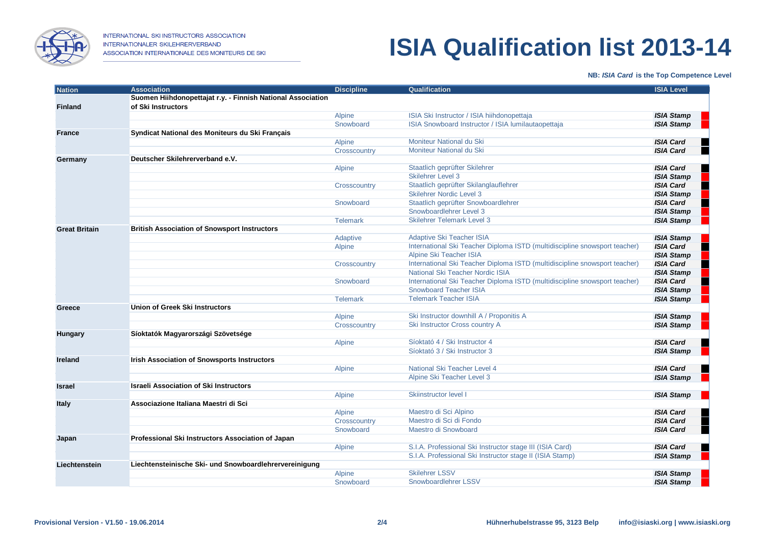

INTERNATIONAL SKI INSTRUCTORS ASSOCIATION INTERNATIONALER SKILEHRERVERBAND ASSOCIATION INTERNATIONALE DES MONITEURS DE SKI

## **ISIA Qualification list 2013-14**

#### **NB:** *ISIA Card* **is the Top Competence Level**

| Nation               | <b>Association</b>                                          | <b>Discipline</b> | Qualification                                                              | <b>ISIA Level</b>     |
|----------------------|-------------------------------------------------------------|-------------------|----------------------------------------------------------------------------|-----------------------|
|                      | Suomen Hiihdonopettajat r.y. - Finnish National Association |                   |                                                                            |                       |
| <b>Finland</b>       | of Ski Instructors                                          |                   |                                                                            |                       |
|                      |                                                             | Alpine            | ISIA Ski Instructor / ISIA hiihdonopettaja                                 | <b>ISIA Stamp</b>     |
|                      |                                                             | Snowboard         | ISIA Snowboard Instructor / ISIA lumilautaopettaja                         | <b>ISIA Stamp</b>     |
| <b>France</b>        | Syndicat National des Moniteurs du Ski Français             |                   |                                                                            |                       |
|                      |                                                             | Alpine            | Moniteur National du Ski                                                   | <b>ISIA Card</b>      |
|                      |                                                             | Crosscountry      | Moniteur National du Ski                                                   | <b>ISIA Card</b><br>٠ |
| Germany              | Deutscher Skilehrerverband e.V.                             |                   |                                                                            |                       |
|                      |                                                             | Alpine            | Staatlich geprüfter Skilehrer                                              | <b>ISIA Card</b><br>۰ |
|                      |                                                             |                   | <b>Skilehrer Level 3</b>                                                   | <b>ISIA Stamp</b>     |
|                      |                                                             | Crosscountry      | Staatlich geprüfter Skilanglauflehrer                                      | <b>ISIA Card</b><br>ш |
|                      |                                                             |                   | <b>Skilehrer Nordic Level 3</b>                                            | <b>ISIA Stamp</b>     |
|                      |                                                             | Snowboard         | Staatlich geprüfter Snowboardlehrer                                        | <b>ISIA Card</b>      |
|                      |                                                             |                   | Snowboardlehrer Level 3                                                    | <b>ISIA Stamp</b>     |
|                      |                                                             | <b>Telemark</b>   | <b>Skilehrer Telemark Level 3</b>                                          | <b>ISIA Stamp</b>     |
| <b>Great Britain</b> | <b>British Association of Snowsport Instructors</b>         |                   |                                                                            |                       |
|                      |                                                             | Adaptive          | Adaptive Ski Teacher ISIA                                                  | <b>ISIA Stamp</b>     |
|                      |                                                             | Alpine            | International Ski Teacher Diploma ISTD (multidiscipline snowsport teacher) | <b>ISIA Card</b>      |
|                      |                                                             |                   | Alpine Ski Teacher ISIA                                                    | <b>ISIA Stamp</b>     |
|                      |                                                             | Crosscountry      | International Ski Teacher Diploma ISTD (multidiscipline snowsport teacher) | <b>ISIA Card</b><br>۰ |
|                      |                                                             |                   | National Ski Teacher Nordic ISIA                                           | <b>ISIA Stamp</b>     |
|                      |                                                             | Snowboard         | International Ski Teacher Diploma ISTD (multidiscipline snowsport teacher) | <b>ISIA Card</b>      |
|                      |                                                             |                   | <b>Snowboard Teacher ISIA</b>                                              | <b>ISIA Stamp</b>     |
|                      |                                                             | <b>Telemark</b>   | <b>Telemark Teacher ISIA</b>                                               | <b>ISIA Stamp</b>     |
| Greece               | <b>Union of Greek Ski Instructors</b>                       |                   |                                                                            |                       |
|                      |                                                             | Alpine            | Ski Instructor downhill A / Proponitis A                                   | <b>ISIA Stamp</b>     |
|                      |                                                             | Crosscountry      | Ski Instructor Cross country A                                             | <b>ISIA Stamp</b>     |
| <b>Hungary</b>       | Síoktatók Magyarországi Szövetsége                          |                   |                                                                            |                       |
|                      |                                                             | Alpine            | Síoktató 4 / Ski Instructor 4                                              | <b>ISIA Card</b>      |
|                      |                                                             |                   | Síoktató 3 / Ski Instructor 3                                              | <b>ISIA Stamp</b>     |
| <b>Ireland</b>       | <b>Irish Association of Snowsports Instructors</b>          |                   |                                                                            |                       |
|                      |                                                             | <b>Alpine</b>     | National Ski Teacher Level 4                                               | <b>ISIA Card</b>      |
|                      |                                                             |                   | Alpine Ski Teacher Level 3                                                 | <b>ISIA Stamp</b>     |
| <b>Israel</b>        | <b>Israeli Association of Ski Instructors</b>               |                   |                                                                            |                       |
|                      |                                                             | Alpine            | Skiinstructor level I                                                      | <b>ISIA Stamp</b>     |
| <b>Italy</b>         | Associazione Italiana Maestri di Sci                        |                   |                                                                            |                       |
|                      |                                                             | Alpine            | Maestro di Sci Alpino                                                      | <b>ISIA Card</b>      |
|                      |                                                             | Crosscountry      | Maestro di Sci di Fondo                                                    | <b>ISIA Card</b>      |
|                      |                                                             | Snowboard         | Maestro di Snowboard                                                       | <b>ISIA Card</b>      |
| Japan                | Professional Ski Instructors Association of Japan           |                   |                                                                            |                       |
|                      |                                                             | Alpine            | S.I.A. Professional Ski Instructor stage III (ISIA Card)                   | <b>ISIA Card</b>      |
|                      |                                                             |                   | S.I.A. Professional Ski Instructor stage II (ISIA Stamp)                   | <b>ISIA Stamp</b>     |
| Liechtenstein        | Liechtensteinische Ski- und Snowboardlehrervereinigung      |                   |                                                                            |                       |
|                      |                                                             | <b>Alpine</b>     | <b>Skilehrer LSSV</b>                                                      | <b>ISIA Stamp</b>     |
|                      |                                                             | Snowboard         | Snowboardlehrer LSSV                                                       | <b>ISIA Stamp</b>     |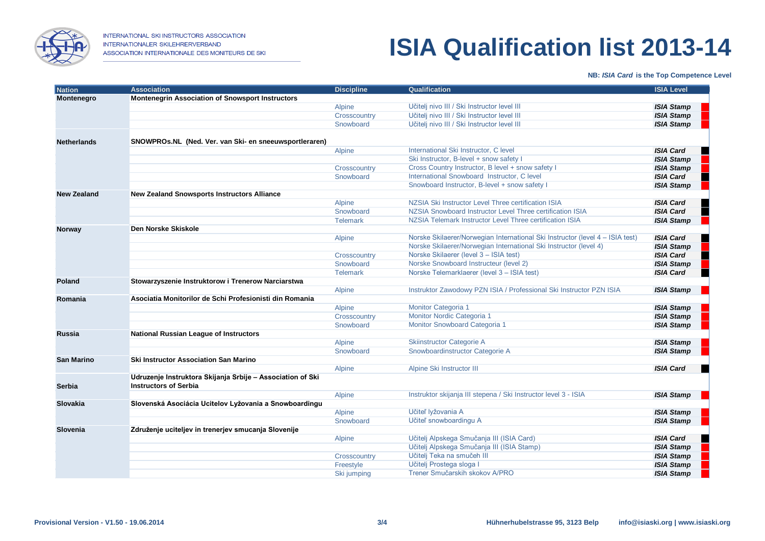

## **ISIA Qualification list 2013-14**

### **NB:** *ISIA Card* **is the Top Competence Level**

| Nation             | <b>Association</b>                                         | <b>Discipline</b> | Qualification                                                                 | <b>ISIA Level</b>     |
|--------------------|------------------------------------------------------------|-------------------|-------------------------------------------------------------------------------|-----------------------|
| Montenegro         | <b>Montenegrin Association of Snowsport Instructors</b>    |                   |                                                                               |                       |
|                    |                                                            | Alpine            | Učitelj nivo III / Ski Instructor level III                                   | <b>ISIA Stamp</b>     |
|                    |                                                            | Crosscountry      | Učitelj nivo III / Ski Instructor level III                                   | <b>ISIA Stamp</b>     |
|                    |                                                            | Snowboard         | Učitelj nivo III / Ski Instructor level III                                   | <b>ISIA Stamp</b>     |
|                    |                                                            |                   |                                                                               |                       |
| <b>Netherlands</b> | SNOWPROs.NL (Ned. Ver. van Ski- en sneeuwsportleraren)     |                   |                                                                               |                       |
|                    |                                                            | Alpine            | International Ski Instructor, C level                                         | <b>ISIA Card</b><br>۰ |
|                    |                                                            |                   | Ski Instructor, B-level + snow safety I                                       | <b>ISIA Stamp</b>     |
|                    |                                                            | Crosscountry      | Cross Country Instructor, B level + snow safety I                             | <b>ISIA Stamp</b>     |
|                    |                                                            | Snowboard         | International Snowboard Instructor, C level                                   | <b>ISIA Card</b>      |
|                    |                                                            |                   | Snowboard Instructor, B-level + snow safety I                                 | <b>ISIA Stamp</b>     |
| <b>New Zealand</b> | <b>New Zealand Snowsports Instructors Alliance</b>         |                   |                                                                               |                       |
|                    |                                                            | Alpine            | NZSIA Ski Instructor Level Three certification ISIA                           | <b>ISIA Card</b>      |
|                    |                                                            | Snowboard         | NZSIA Snowboard Instructor Level Three certification ISIA                     | <b>ISIA Card</b>      |
|                    |                                                            | <b>Telemark</b>   | NZSIA Telemark Instructor Level Three certification ISIA                      | <b>ISIA Stamp</b>     |
| <b>Norway</b>      | Den Norske Skiskole                                        |                   |                                                                               |                       |
|                    |                                                            | Alpine            | Norske Skilaerer/Norwegian International Ski Instructor (level 4 – ISIA test) | <b>ISIA Card</b>      |
|                    |                                                            |                   | Norske Skilaerer/Norwegian International Ski Instructor (level 4)             | <b>ISIA Stamp</b>     |
|                    |                                                            | Crosscountry      | Norske Skilaerer (level 3 - ISIA test)                                        | <b>ISIA Card</b><br>۰ |
|                    |                                                            | Snowboard         | Norske Snowboard Instructeur (level 2)                                        | <b>ISIA Stamp</b>     |
|                    |                                                            | <b>Telemark</b>   | Norske Telemarklaerer (level 3 - ISIA test)                                   | <b>ISIA Card</b>      |
| <b>Poland</b>      | Stowarzyszenie Instruktorow i Trenerow Narciarstwa         |                   |                                                                               |                       |
|                    |                                                            | Alpine            | Instruktor Zawodowy PZN ISIA / Professional Ski Instructor PZN ISIA           | <b>ISIA Stamp</b>     |
| Romania            | Asociatia Monitorilor de Schi Profesionisti din Romania    |                   |                                                                               |                       |
|                    |                                                            | Alpine            | Monitor Categoria 1                                                           | <b>ISIA Stamp</b>     |
|                    |                                                            | Crosscountry      | Monitor Nordic Categoria 1                                                    | <b>ISIA Stamp</b>     |
|                    |                                                            | Snowboard         | Monitor Snowboard Categoria 1                                                 | <b>ISIA Stamp</b>     |
| <b>Russia</b>      | National Russian League of Instructors                     |                   |                                                                               |                       |
|                    |                                                            | <b>Alpine</b>     | <b>Skiinstructor Categorie A</b>                                              | <b>ISIA Stamp</b>     |
|                    |                                                            | Snowboard         | Snowboardinstructor Categorie A                                               | <b>ISIA Stamp</b>     |
| <b>San Marino</b>  | <b>Ski Instructor Association San Marino</b>               |                   | Alpine Ski Instructor III                                                     | <b>ISIA Card</b>      |
|                    | Udruzenje Instruktora Skijanja Srbije - Association of Ski | Alpine            |                                                                               |                       |
| Serbia             | <b>Instructors of Serbia</b>                               |                   |                                                                               |                       |
|                    |                                                            | Alpine            | Instruktor skijanja III stepena / Ski Instructor level 3 - ISIA               | <b>ISIA Stamp</b>     |
| Slovakia           | Slovenská Asociácia Ucitelov Lyžovania a Snowboardingu     |                   |                                                                               |                       |
|                    |                                                            | Alpine            | Učiteľ lyžovania A                                                            | <b>ISIA Stamp</b>     |
|                    |                                                            | Snowboard         | Učiteľ snowboardingu A                                                        | <b>ISIA Stamp</b>     |
| Slovenia           | Združenje uciteljev in trenerjev smucanja Slovenije        |                   |                                                                               |                       |
|                    |                                                            | Alpine            | Učitelj Alpskega Smučanja III (ISIA Card)                                     | <b>ISIA Card</b>      |
|                    |                                                            |                   | Učitelj Alpskega Smučanja III (ISIA Stamp)                                    | <b>ISIA Stamp</b>     |
|                    |                                                            | Crosscountry      | Učitelj Teka na smučeh III                                                    | <b>ISIA Stamp</b>     |
|                    |                                                            | Freestyle         | Učitelj Prostega sloga I                                                      | <b>ISIA Stamp</b>     |
|                    |                                                            | Ski jumping       | Trener Smučarskih skokov A/PRO                                                | <b>ISIA Stamp</b>     |
|                    |                                                            |                   |                                                                               |                       |